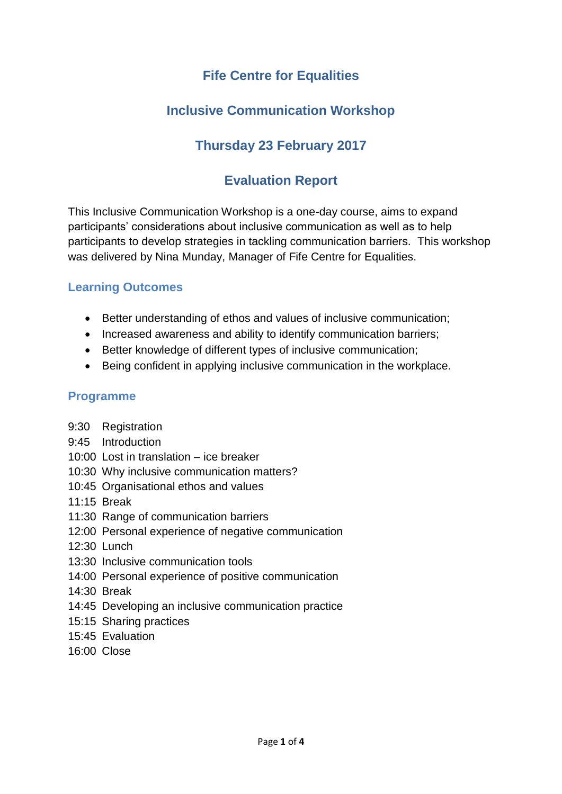# **Fife Centre for Equalities**

# **Inclusive Communication Workshop**

# **Thursday 23 February 2017**

### **Evaluation Report**

This Inclusive Communication Workshop is a one-day course, aims to expand participants' considerations about inclusive communication as well as to help participants to develop strategies in tackling communication barriers. This workshop was delivered by Nina Munday, Manager of Fife Centre for Equalities.

### **Learning Outcomes**

- Better understanding of ethos and values of inclusive communication;
- Increased awareness and ability to identify communication barriers;
- Better knowledge of different types of inclusive communication;
- Being confident in applying inclusive communication in the workplace.

### **Programme**

- 9:30 Registration
- 9:45 Introduction
- 10:00 Lost in translation ice breaker
- 10:30 Why inclusive communication matters?
- 10:45 Organisational ethos and values
- 11:15 Break
- 11:30 Range of communication barriers
- 12:00 Personal experience of negative communication
- 12:30 Lunch
- 13:30 Inclusive communication tools
- 14:00 Personal experience of positive communication
- 14:30 Break
- 14:45 Developing an inclusive communication practice
- 15:15 Sharing practices
- 15:45 Evaluation
- 16:00 Close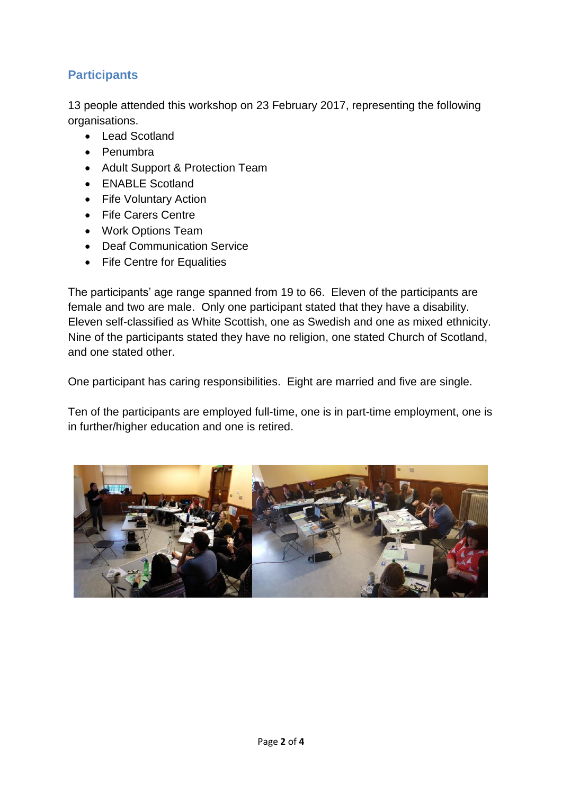### **Participants**

13 people attended this workshop on 23 February 2017, representing the following organisations.

- Lead Scotland
- Penumbra
- Adult Support & Protection Team
- ENABLE Scotland
- Fife Voluntary Action
- Fife Carers Centre
- Work Options Team
- Deaf Communication Service
- Fife Centre for Equalities

The participants' age range spanned from 19 to 66. Eleven of the participants are female and two are male. Only one participant stated that they have a disability. Eleven self-classified as White Scottish, one as Swedish and one as mixed ethnicity. Nine of the participants stated they have no religion, one stated Church of Scotland, and one stated other.

One participant has caring responsibilities. Eight are married and five are single.

Ten of the participants are employed full-time, one is in part-time employment, one is in further/higher education and one is retired.

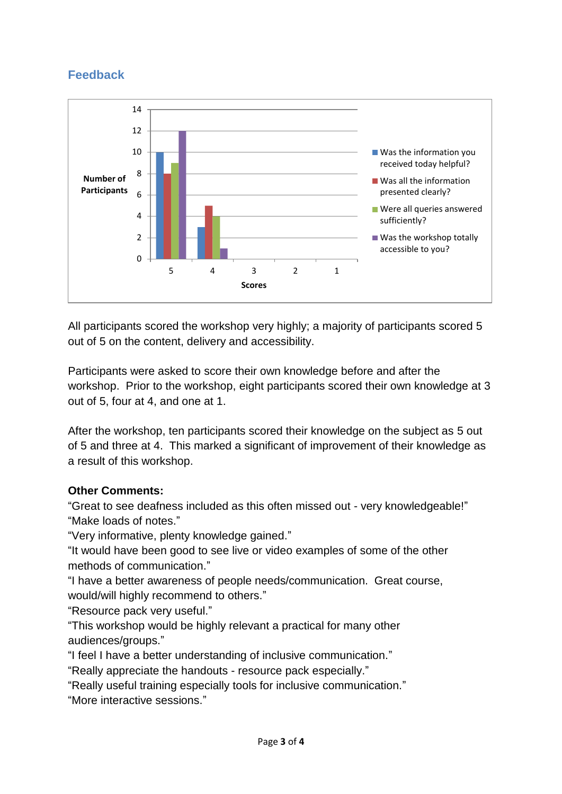# **Feedback**



All participants scored the workshop very highly; a majority of participants scored 5 out of 5 on the content, delivery and accessibility.

Participants were asked to score their own knowledge before and after the workshop. Prior to the workshop, eight participants scored their own knowledge at 3 out of 5, four at 4, and one at 1.

After the workshop, ten participants scored their knowledge on the subject as 5 out of 5 and three at 4. This marked a significant of improvement of their knowledge as a result of this workshop.

#### **Other Comments:**

"Great to see deafness included as this often missed out - very knowledgeable!" "Make loads of notes."

"Very informative, plenty knowledge gained."

"It would have been good to see live or video examples of some of the other methods of communication."

"I have a better awareness of people needs/communication. Great course, would/will highly recommend to others."

"Resource pack very useful."

"This workshop would be highly relevant a practical for many other audiences/groups."

"I feel I have a better understanding of inclusive communication."

"Really appreciate the handouts - resource pack especially."

"Really useful training especially tools for inclusive communication."

"More interactive sessions."